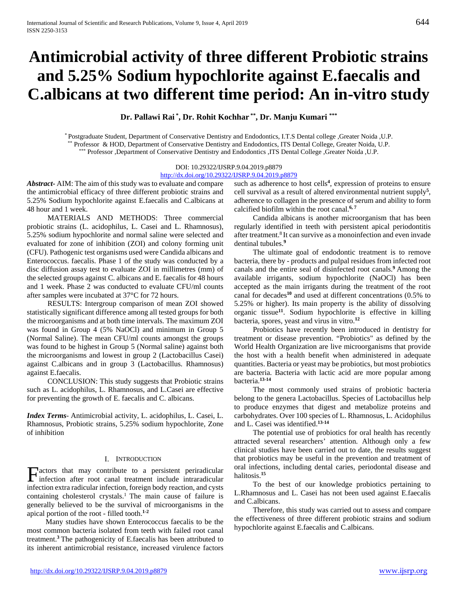# **Antimicrobial activity of three different Probiotic strains and 5.25% Sodium hypochlorite against E.faecalis and C.albicans at two different time period: An in-vitro study**

**Dr. Pallawi Rai \* , Dr. Rohit Kochhar \*\*, Dr. Manju Kumari \*\*\***

\* Postgraduate Student, Department of Conservative Dentistry and Endodontics, I.T.S Dental college ,Greater Noida ,U.P. Professor & HOD, Department of Conservative Dentistry and Endodontics, ITS Dental College, Greater Noida, U.P. \*\*\* Professor ,Department of Conservative Dentistry and Endodontics ,ITS Dental College ,Greater Noida ,U.P.

#### DOI: 10.29322/IJSRP.9.04.2019.p8879 [http://dx.doi.org/10.29322/IJSRP.9.04.2019.p8879](http://dx.doi.org/10.29322/IJSRP.9.03.2019.p8879)

*Abstract***-** AIM: The aim of this study was to evaluate and compare the antimicrobial efficacy of three different probiotic strains and 5.25% Sodium hypochlorite against E.faecalis and C.albicans at 48 hour and 1 week.

 MATERIALS AND METHODS: Three commercial probiotic strains (L. acidophilus, L. Casei and L. Rhamnosus), 5.25% sodium hypochlorite and normal saline were selected and evaluated for zone of inhibition (ZOI) and colony forming unit (CFU). Pathogenic test organisms used were Candida albicans and Enterococcus. faecalis. Phase 1 of the study was conducted by a disc diffusion assay test to evaluate ZOI in millimetres (mm) of the selected groups against C. albicans and E. faecalis for 48 hours and 1 week. Phase 2 was conducted to evaluate CFU/ml counts after samples were incubated at 37°C for 72 hours.

 RESULTS: Intergroup comparison of mean ZOI showed statistically significant difference among all tested groups for both the microorganisms and at both time intervals. The maximum ZOI was found in Group 4 (5% NaOCl) and minimum in Group 5 (Normal Saline). The mean CFU/ml counts amongst the groups was found to be highest in Group 5 (Normal saline) against both the microorganisms and lowest in group 2 (Lactobacillus Casei) against C.albicans and in group 3 (Lactobacillus. Rhamnosus) against E.faecalis.

 CONCLUSION: This study suggests that Probiotic strains such as L. acidophilus, L. Rhamnosus, and L.Casei are effective for preventing the growth of E. faecalis and C. albicans.

*Index Terms*- Antimicrobial activity, L. acidophilus, L. Casei, L. Rhamnosus, Probiotic strains, 5.25% sodium hypochlorite, Zone of inhibition

## I. INTRODUCTION

**Factors** that may contribute to a persistent periradicular infection after root canal treatment include intraradicular infection after root canal treatment include intraradicular infection extra radicular infection, foreign body reaction, and cysts containing cholesterol crystals.<sup>1</sup> The main cause of failure is generally believed to be the survival of microorganisms in the apical portion of the root - filled tooth.**1-2**

 Many studies have shown Enterococcus faecalis to be the most common bacteria isolated from teeth with failed root canal treatment.**<sup>3</sup>**The pathogenicity of E.faecalis has been attributed to its inherent antimicrobial resistance, increased virulence factors

such as adherence to host cells**<sup>4</sup>** , expression of proteins to ensure cell survival as a result of altered environmental nutrient supply**<sup>5</sup>** , adherence to collagen in the presence of serum and ability to form calcified biofilm within the root canal.**6, 7**

 Candida albicans is another microorganism that has been regularly identified in teeth with persistent apical periodontitis after treatment.8 It can survive as a monoinfection and even invade dentinal tubules.**<sup>9</sup>**

 The ultimate goal of endodontic treatment is to remove bacteria, there by - products and pulpal residues from infected root canals and the entire seal of disinfected root canals.**<sup>9</sup>**Among the available irrigants, sodium hypochlorite (NaOCl) has been accepted as the main irrigants during the treatment of the root canal for decades**<sup>10</sup>** and used at different concentrations (0.5% to 5.25% or higher). Its main property is the ability of dissolving organic tissue**<sup>11</sup>**. Sodium hypochlorite is effective in killing bacteria, spores, yeast and virus in vitro.**<sup>12</sup>**

 Probiotics have recently been introduced in dentistry for treatment or disease prevention. "Probiotics" as defined by the World Health Organization are live microorganisms that provide the host with a health benefit when administered in adequate quantities. Bacteria or yeast may be probiotics, but most probiotics are bacteria. Bacteria with lactic acid are more popular among bacteria.**13-14**

 The most commonly used strains of probiotic bacteria belong to the genera Lactobacillus. Species of Lactobacillus help to produce enzymes that digest and metabolize proteins and carbohydrates. Over 100 species of L. Rhamnosus, L. Acidophilus and L. Casei was identified.**13-14**

 The potential use of probiotics for oral health has recently attracted several researchers' attention. Although only a few clinical studies have been carried out to date, the results suggest that probiotics may be useful in the prevention and treatment of oral infections, including dental caries, periodontal disease and halitosis.**<sup>15</sup>**

 To the best of our knowledge probiotics pertaining to L.Rhamnosus and L. Casei has not been used against E.faecalis and C.albicans.

 Therefore, this study was carried out to assess and compare the effectiveness of three different probiotic strains and sodium hypochlorite against E.faecalis and C.albicans.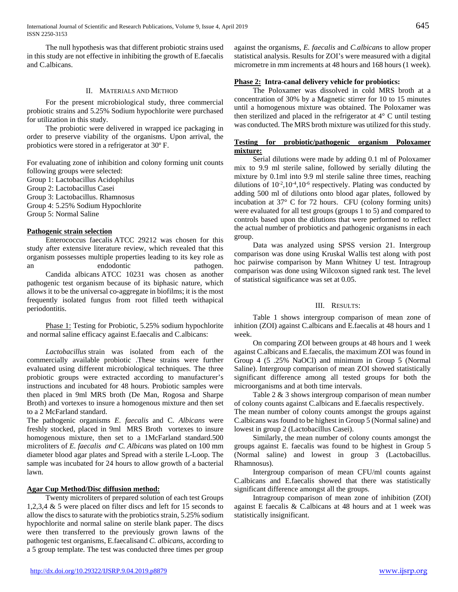The null hypothesis was that different probiotic strains used in this study are not effective in inhibiting the growth of E.faecalis and C.albicans.

## II. MATERIALS AND METHOD

 For the present microbiological study, three commercial probiotic strains and 5.25% Sodium hypochlorite were purchased for utilization in this study.

 The probiotic were delivered in wrapped ice packaging in order to preserve viability of the organisms. Upon arrival, the probiotics were stored in a refrigerator at 30º F.

For evaluating zone of inhibition and colony forming unit counts following groups were selected:

Group 1: Lactobacillus Acidophilus

Group 2: Lactobacillus Casei

Group 3: Lactobacillus. Rhamnosus

Group 4: 5.25% Sodium Hypochlorite

Group 5: Normal Saline

# **Pathogenic strain selection**

 Enterococcus faecalis ATCC 29212 was chosen for this study after extensive literature review, which revealed that this organism possesses multiple properties leading to its key role as an endodontic pathogen. Candida albicans ATCC 10231 was chosen as another pathogenic test organism because of its biphasic nature, which allows it to be the universal co-aggregate in biofilms; it is the most frequently isolated fungus from root filled teeth withapical periodontitis.

Phase 1: Testing for Probiotic, 5.25% sodium hypochlorite and normal saline efficacy against E.faecalis and C.albicans:

 *Lactobacillus* strain was isolated from each of the commercially available probiotic .These strains were further evaluated using different microbiological techniques. The three probiotic groups were extracted according to manufacturer's instructions and incubated for 48 hours. Probiotic samples were then placed in 9ml MRS broth (De Man, Rogosa and Sharpe Broth) and vortexes to insure a homogenous mixture and then set to a 2 McFarland standard.

The pathogenic organisms *E. faecalis* and C. *Albicans* were freshly stocked, placed in 9ml MRS Broth vortexes to insure homogenous mixture, then set to a 1McFarland standard.500 microliters of *E. faecalis and C. Albicans* was plated on 100 mm diameter blood agar plates and Spread with a sterile L-Loop. The sample was incubated for 24 hours to allow growth of a bacterial lawn.

# **Agar Cup Method/Disc diffusion method:**

 Twenty microliters of prepared solution of each test Groups 1,2,3,4 & 5 were placed on filter discs and left for 15 seconds to allow the discs to saturate with the probiotics strain, 5.25% sodium hypochlorite and normal saline on sterile blank paper. The discs were then transferred to the previously grown lawns of the pathogenic test organisms, E.faecalisand *C. albicans*, according to a 5 group template. The test was conducted three times per group against the organisms, *E. faecalis* and *C.albicans* to allow proper statistical analysis. Results for ZOI's were measured with a digital micrometre in mm increments at 48 hours and 168 hours (1 week).

# **Phase 2: Intra-canal delivery vehicle for probiotics:**

 The Poloxamer was dissolved in cold MRS broth at a concentration of 30% by a Magnetic stirrer for 10 to 15 minutes until a homogenous mixture was obtained. The Poloxamer was then sterilized and placed in the refrigerator at  $4^{\circ}$  C until testing was conducted. The MRS broth mixture was utilized for this study.

# **Testing for probiotic/pathogenic organism Poloxamer mixture:**

 Serial dilutions were made by adding 0.1 ml of Poloxamer mix to 9.9 ml sterile saline, followed by serially diluting the mixture by 0.1ml into 9.9 ml sterile saline three times, reaching dilutions of  $10^{-2}$ ,  $10^{-4}$ ,  $10^{-6}$  respectively. Plating was conducted by adding 500 ml of dilutions onto blood agar plates, followed by incubation at 37° C for 72 hours. CFU (colony forming units) were evaluated for all test groups (groups 1 to 5) and compared to controls based upon the dilutions that were performed to reflect the actual number of probiotics and pathogenic organisms in each group.

 Data was analyzed using SPSS version 21. Intergroup comparison was done using Kruskal Wallis test along with post hoc pairwise comparison by Mann Whitney U test. Intragroup comparison was done using Wilcoxon signed rank test. The level of statistical significance was set at 0.05.

# III. RESULTS:

 Table 1 shows intergroup comparison of mean zone of inhition (ZOI) against C.albicans and E.faecalis at 48 hours and 1 week.

 On comparing ZOI between groups at 48 hours and 1 week against C.albicans and E.faecalis, the maximum ZOI was found in Group 4 (5 .25% NaOCl) and minimum in Group 5 (Normal Saline). Intergroup comparison of mean ZOI showed statistically significant difference among all tested groups for both the microorganisms and at both time intervals.

Table 2 & 3 shows intergroup comparison of mean number of colony counts against C.albicans and E.faecalis respectively. The mean number of colony counts amongst the groups against C.albicans was found to be highest in Group 5 (Normal saline) and lowest in group 2 (Lactobacillus Casei).

 Similarly, the mean number of colony counts amongst the groups against E. faecalis was found to be highest in Group 5 (Normal saline) and lowest in group 3 (Lactobacillus. Rhamnosus).

 Intergroup comparison of mean CFU/ml counts against C.albicans and E.faecalis showed that there was statistically significant difference amongst all the groups.

 Intragroup comparison of mean zone of inhibition (ZOI) against E faecalis & C.albicans at 48 hours and at 1 week was statistically insignificant.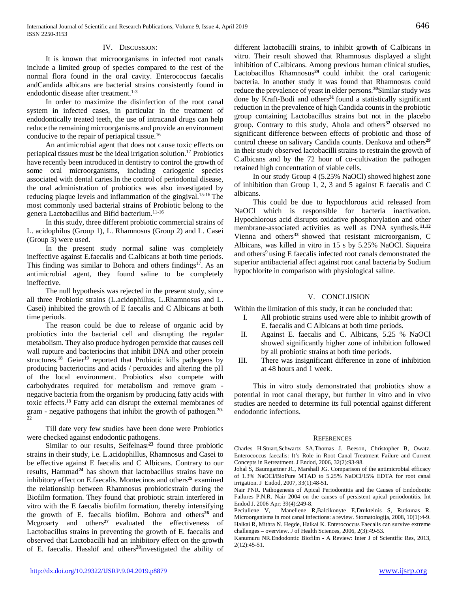#### IV. DISCUSSION:

 It is known that microorganisms in infected root canals include a limited group of species compared to the rest of the normal flora found in the oral cavity. Enterococcus faecalis andCandida albicans are bacterial strains consistently found in endodontic disease after treatment.<sup>1-3</sup>

 In order to maximize the disinfection of the root canal system in infected cases, in particular in the treatment of endodontically treated teeth, the use of intracanal drugs can help reduce the remaining microorganisms and provide an environment conducive to the repair of periapical tissue.16

 An antimicrobial agent that does not cause toxic effects on periapical tissues must be the ideal irrigation solution.17Probiotics have recently been introduced in dentistry to control the growth of some oral microorganisms, including cariogenic species associated with dental caries.In the control of periodontal disease, the oral administration of probiotics was also investigated by reducing plaque levels and inflammation of the gingival.15-16 The most commonly used bacterial strains of Probiotic belong to the genera Lactobacillus and Bifid bacterium.11-16

 In this study, three different probiotic commercial strains of L. acidophilus (Group 1), L. Rhamnosus (Group 2) and L. Casei (Group 3) were used.

 In the present study normal saline was completely ineffective against E.faecalis and C.albicans at both time periods. This finding was similar to Bohora and others findings<sup>17</sup>. As an antimicrobial agent, they found saline to be completely ineffective.

 The null hypothesis was rejected in the present study, since all three Probiotic strains (L.acidophillus, L.Rhamnosus and L. Casei) inhibited the growth of E faecalis and C Albicans at both time periods.

 The reason could be due to release of organic acid by probiotics into the bacterial cell and disrupting the regular metabolism. They also produce hydrogen peroxide that causes cell wall rupture and bacteriocins that inhibit DNA and other protein structures.<sup>18</sup> Geier<sup>19</sup> reported that Probiotic kills pathogens by producing bacteriocins and acids / peroxides and altering the pH of the local environment. Probiotics also compete with carbohydrates required for metabolism and remove gram negative bacteria from the organism by producing fatty acids with toxic effects.18 Fatty acid can disrupt the external membranes of gram - negative pathogens that inhibit the growth of pathogen.20- 22

 Till date very few studies have been done were Probiotics were checked against endodontic pathogens.

 Similar to our results, Seifelnasr**<sup>23</sup>** found three probiotic strains in their study, i.e. L.acidophillus, Rhamnosus and Casei to be effective against E faecalis and C Albicans. Contrary to our results, Hammad**<sup>24</sup>** has shown that lactobacillus strains have no inhibitory effect on E.faecalis. Montecinos and others**<sup>25</sup>** examined the relationship between Rhamnosus probioticstrain during the Biofilm formation. They found that probiotic strain interfered in vitro with the E faecalis biofilm formation, thereby intensifying the growth of E. faecalis biofilm. Bohora and others<sup>26</sup> and Mcgroarty and others<sup>27</sup> evaluated the effectiveness of Lactobacillus strains in preventing the growth of E. faecalis and observed that Lactobacilli had an inhibitory effect on the growth of E. faecalis. Hasslöf and others**<sup>28</sup>**investigated the ability of different lactobacilli strains, to inhibit growth of C.albicans in vitro. Their result showed that Rhamnosus displayed a slight inhibition of C.albicans. Among previous human clinical studies, Lactobacillus Rhamnosus<sup>29</sup> could inhibit the oral cariogenic bacteria. In another study it was found that Rhamnosus could reduce the prevalence of yeast in elder persons.**<sup>30</sup>**Similar study was done by Kraft-Bodi and others<sup>31</sup> found a statistically significant reduction in the prevalence of high Candida counts in the probiotic group containing Lactobacillus strains but not in the placebo group. Contrary to this study, Ahola and others**<sup>32</sup>**observed no significant difference between effects of probiotic and those of control cheese on salivary Candida counts. Denkova and others**<sup>29</sup>** in their study observed lactobacilli strains to restrain the growth of C.albicans and by the 72 hour of co-cultivation the pathogen retained high concentration of viable cells.

 In our study Group 4 (5.25% NaOCl) showed highest zone of inhibition than Group 1, 2, 3 and 5 against E faecalis and C albicans.

 This could be due to hypochlorous acid released from NaOCl which is responsible for bacteria inactivation. Hypochlorous acid disrupts oxidative phosphorylation and other membrane-associated activities as well as DNA synthesis.**11,12**  Vienna and others**<sup>33</sup>**showed that resistant microorganism, C Albicans, was killed in vitro in 15 s by 5.25% NaOCl. Siqueira and others<sup>9</sup> using E faecalis infected root canals demonstrated the superior antibacterial affect against root canal bacteria by Sodium hypochlorite in comparison with physiological saline.

#### V. CONCLUSION

Within the limitation of this study, it can be concluded that:

- I. All probiotic strains used were able to inhibit growth of E. faecalis and C Albicans at both time periods.
- II. Against E. faecalis and C. Albicans, 5.25 % NaOCl showed significantly higher zone of inhibition followed by all probiotic strains at both time periods.
- III. There was insignificant difference in zone of inhibition at 48 hours and 1 week.

 This in vitro study demonstrated that probiotics show a potential in root canal therapy, but further in vitro and in vivo studies are needed to determine its full potential against different endodontic infections.

## **REFERENCES**

Charles H.Stuart,Schwartz SA,Thomas J. Beeson, Christopher B, Owatz. Enterococcus faecalis: It's Role in Root Canal Treatment Failure and Current Concepts in Retreatment. J Endod, 2006, 32(2):93-98.

Johal S, Baumgartner JC, Marshall JG. Comparison of the antimicrobial efficacy of 1.3% NaOCl/BioPure MTAD to 5.25% NaOCl/15% EDTA for root canal irrigation. J Endod, 2007, 33(1):48-51.

Nair PNR. Pathogenesis of Apical Periodontitis and the Causes of Endodontic Failures P.N.R. Nair 2004 on the causes of persistent apical periodontitis. Int Endod J. 2006 Apr; 39(4):249-8.

Peciuliene V, Maneliene R,Balcikonyte E,Drukteinis S, Rutkunas R. Microorganisms in root canal infections: a review. Stomatologija, 2008, 10(1):4-9. Halkai R, Mithra N. Hegde, Halkai K. Enterococcus Faecalis can survive extreme challenges – overview. J of Health Sciences, 2006, 2(3):49-53.

Kanumuru NR.Endodontic Biofilm - A Review: Inter J of Scientific Res, 2013, 2(12):45-51.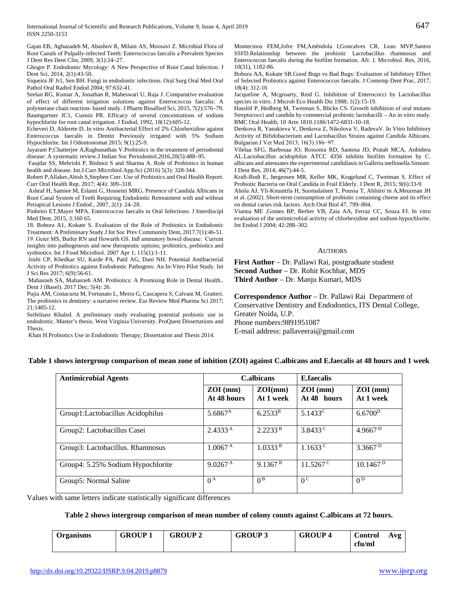Gajan EB, Aghazadeh M, Abashov R, Milani AS, Moosavi Z. Microbial Flora of Root Canals of Pulpally-infected Teeth: Enterococcus faecalis a Prevalent Species J Dent Res Dent Clin, 2009, 3(1):24–27.

Ghogre P. Endodontic Mycology: A New Perspective of Root Canal Infection. J Dent Sci, 2014, 2(1):43-50.

Siqueira JF Jr1, Sen BH. Fungi in endodontic infections. Oral Surg Oral Med Oral Pathol Oral Radiol Endod 2004; 97:632-41.

Seelan RG, Kumar A, Jonathan R, Maheswari U, Raja J. Comparative evaluation of effect of different irrigation solutions against Enterococcus faecalis: A polymerase chain reaction- based study. J Pharm Bioallied Sci, 2015, 7(2):576–79. Baumgartner JC1, Cuenin PR. Efficacy of several concentrations of sodium hypochlorite for root canal irrigation. J Endod, 1992, 18(12):605-12.

Echeveri D, Alderete D. In vitro Antibacterial Effect of 2% Chlorhexidine against Enterococcus faecalis in Dentin Previously irrigated with 5% Sodium Hypochlorite. Int J Odontostomat 2015; 9(1):25-9.

Jayaram P,Chatterjee A,Raghunathan V.Probiotics in the treatment of periodontal disease: A systematic review.J Indian Soc Periodontol,2016,20(5):488–95.

Faujdar SS, Mehrishi P, Bishnoi S and Sharma A. Role of Probiotics in human health and disease. Int.J.Curr.Microbiol.App.Sci (2016) 5(3): 328-344.

Robert P,Allaker,Abish S,Stephen Curr. Use of Probiotics and Oral Health Report. Curr Oral Health Rep. 2017; 4(4): 309–318.

Ashraf H, Samiee M, Eslami G, Hosseini MRG. Presence of Candida Albicans in Root Canal System of Teeth Requiring Endodontic Retreatment with and without Periapical Lesions J Endod , 2007, 2(1): 24–28.

Pinheiro ET,Mayer MPA. Enterococcus faecalis in Oral Infections. J Interdiscipl Med Dent, 2015, 3:160 65.

18. Bohora A1, Kokate S. Evaluation of the Role of Probiotics in Endodontic Treatment: A Preliminary Study.J Int Soc Prev Community Dent, 2017.7(1):46-51. 19. Geier MS, Butler RN and Howarth GS. Infl ammatory bowel disease: Current insights into pathogenesis and new therapeutic options; probiotics, prebiotics and synbiotics. Int J Food Microbiol. 2007 Apr 1; 115(1):1-11.

Joshi CP, Khedkar SU, Karde PA, Patil AG, Dani NH. Potential Antibacterial Activity of Probiotics against Endodontic Pathogens: An In-Vitro Pilot Study. Int J Sci Res 2017; 6(9):56-61.

Mahasneh SA, Mahasneh AM. Probiotics: A Promising Role in Dental Health.. Dent J (Basel). 2017 Dec; 5(4): 26.

Pujia AM, Costacurta M, Fortunato L, Merra G, Cascapera S, Calvani M, Gratteri. The probiotics in dentistry: a narrative review. Eur Review Med Pharma Sci 2017; 21:1405-12.

Seifelnasr Khaled. A preliminary study evaluating potential probiotic use in endodontic. Master's thesis. West Virginia University. ProQuest Dissertations and Thesis.

Khan H.Probiotics Use in Endodontic Therapy; Dissertation and Thesis 2014.

Montecinos FEM,Jofre FM,Amêndola I,Goncalves CR, Leao MVP,Santos SSFD.Relationship between the probiotic Lactobacillus rhamnosus and Enterococcus faecalis during the biofilm formation. Afr. J. Microbiol. Res, 2016, 10(31), 1182-86.

Bohora AA, Kokate SR.Good Bugs vs Bad Bugs: Evaluation of Inhibitory Effect of Selected Probiotics against Enterococcus faecalis. J Contemp Dent Prac, 2017, 18(4): 312-16

Jacqueline A, Mcgroarty, Reid G. Inhibition of Enterococci by Lactobacillus species in vitro. J Microb Eco Health Dis 1988; 1(2):15-19.

Hasslöf P, Hedberg M, Twetman S, Blicks CS. Growth inhibition of oral mutans Streptococci and candida by commercial probiotic lactobacilli – An in vitro study. BMC Oral Health, 10 Artn 1810.1186/1472-6831-10-18.

Denkova R, Yanakieva V, Denkova Z, Nikolova V, RadevaV. In Vitro Inhibitory Activity of Bifidobacterium and Lactobacillus Strains against Candida Albicans. Bulgarian J Vet Med 2013; 16(3):186−97.

Vilelaa SFG, Barbosaa JO, Rossonia RD, Santosa JD, Pratab MCA, Anbidera AL.Lactobacillus acidophilus ATCC 4356 inhibits biofilm formation by C. albicans and attenuates the experimental candidiasis in Galleria mellonella Simone. J Dent Res, 2014; 46(7):44-5.

Kraft-Bodi E, Jørgensen MR, Keller MK, Kragelund C, Twetman S. Effect of Probiotic Bacteria on Oral Candida in Frail Elderly. J Dent R, 2015; 9(6):33-9.

Ahola AJ, Yli-Knuuttila H, Suomalainen T, Poussa T, Ahlstro¨m A,Meurman JH et al. (2002). Short-term consumption of probiotic containing cheese and its effect on dental caries risk factors. Arch Oral Biol 47, 799–804.

Vianna ME ,Gomes BP, Berber VB, Zaia AA, Ferraz CC, Souza FJ. In vitro evaluation of the antimicrobial activity of chlorhexidine and sodium hypochlorite. Int Endod J 2004; 42:288–302.

#### **AUTHORS**

**First Author** – Dr. Pallawi Rai, postgraduate student **Second Author** – Dr. Rohit Kochhar, MDS **Third Author** – Dr. Manju Kumari, MDS

**Correspondence Author** – Dr. Pallawi Rai Department of Conservative Dentistry and Endodontics, ITS Dental College, Greater Noida, U.P. Phone numbers:9891951087 E-mail address: pallaveerai@gmail.com

## **Table 1 shows intergroup comparison of mean zone of inhition (ZOI) against C.albicans and E.faecalis at 48 hours and 1 week**

| <b>Antimicrobial Agents</b>       | <b>C.albicans</b>         |                      | E.faecalis                |                         |
|-----------------------------------|---------------------------|----------------------|---------------------------|-------------------------|
|                                   | $ZOI$ (mm)<br>At 48 hours | ZOI(mm)<br>At 1 week | $ZOI$ (mm)<br>At 48 hours | $ZOI$ (mm)<br>At 1 week |
| Group1:Lactobacillus Acidophilus  | $5.6867^{\rm A}$          | $6.2533^{B}$         | $5.1433^{\circ}$          | 6.6700 <sup>D</sup>     |
| Group2: Lactobacillus Casei       | 2.4333 <sup>A</sup>       | 2.2233B              | 3.8433 <sup>C</sup>       | 4.9667 $p$              |
| Group3: Lactobacillus. Rhamnosus  | 1.0067 <sup>A</sup>       | 1.0333B              | $1.1633$ <sup>C</sup>     | 3.3667 <sup>D</sup>     |
| Group4: 5.25% Sodium Hypochlorite | 9.0267 <sup>A</sup>       | 9.1367 <sup>B</sup>  | $11.5267^{\circ}$         | 10.1467 <sup>D</sup>    |
| Group5: Normal Saline             | $0^{\rm A}$               | $0^{\text{B}}$       | $0^{\rm c}$               | 0 <sup>D</sup>          |

Values with same letters indicate statistically significant differences

## **Table 2 shows intergroup comparison of mean number of colony counts against C.albicans at 72 hours.**

| <b>Organisms</b> | <b>GROUP 1</b> | <b>GROUP 2</b> | <b>GROUP 3</b> | <b>GROUP4</b> | <b>Control</b> | Avg |
|------------------|----------------|----------------|----------------|---------------|----------------|-----|
|                  |                |                |                |               | cfu/ml         |     |